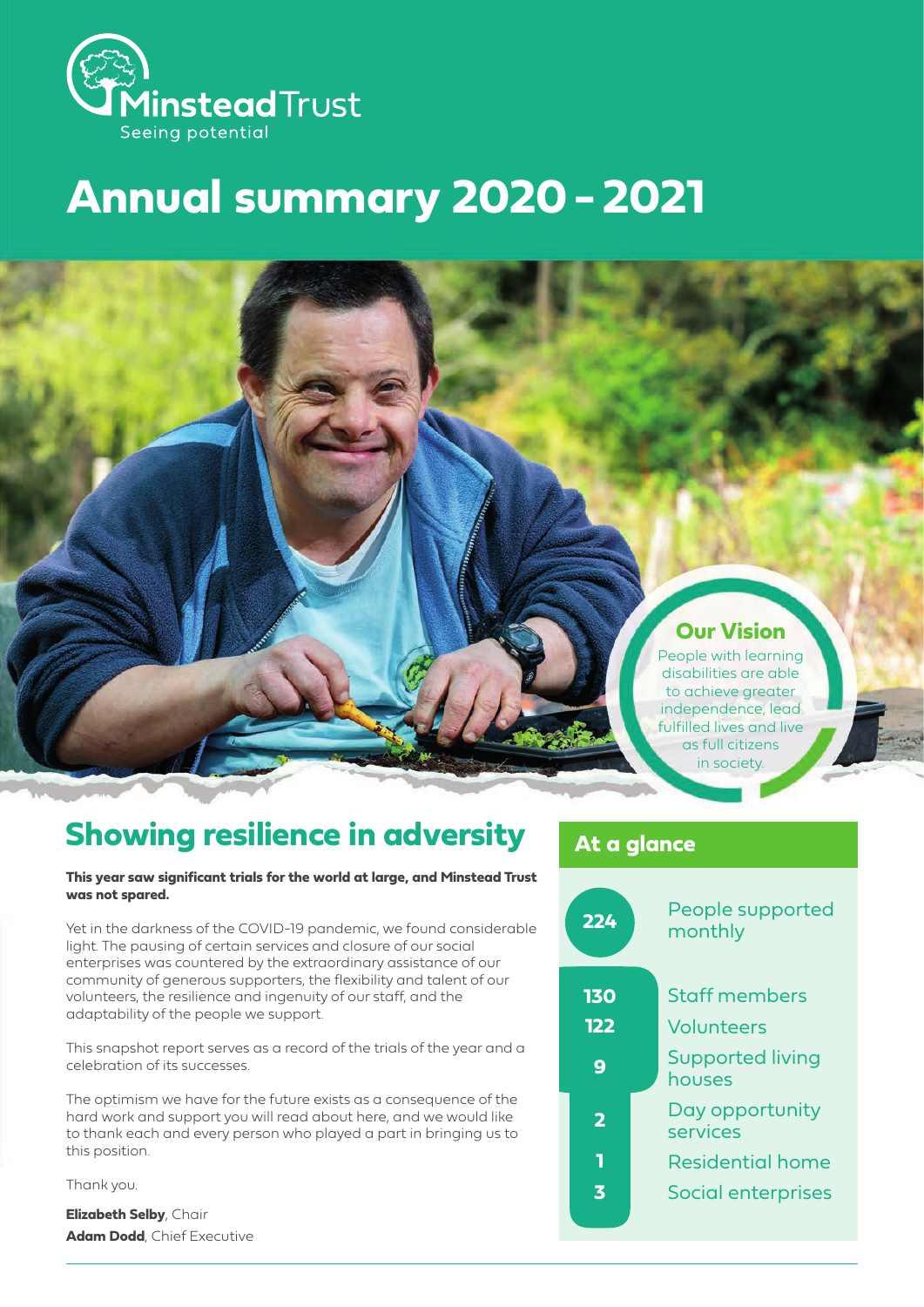

# **Annual summary 2020 - 2021**

### **Our Vision**

People with learning disabilities are able to achieve greater independence, lead fulfilled lives and live as full citizens in society.

## **Showing resilience in adversity**

#### **This year saw significant trials for the world at large, and Minstead Trust was not spared.**

Yet in the darkness of the COVID-19 pandemic, we found considerable light. The pausing of certain services and closure of our social enterprises was countered by the extraordinary assistance of our community of generous supporters, the flexibility and talent of our volunteers, the resilience and ingenuity of our staff, and the adaptability of the people we support.

This snapshot report serves as a record of the trials of the year and a celebration of its successes.

The optimism we have for the future exists as a consequence of the hard work and support you will read about here, and we would like to thank each and every person who played a part in bringing us to this position.

Thank you.

**Elizabeth Selby**, Chair **Adam Dodd**, Chief Executive

### **At a glance**

| 224                     | People supported<br>monthly |
|-------------------------|-----------------------------|
| <b>130</b>              | <b>Staff members</b>        |
| 122                     | Volunteers                  |
| 9                       | Supported living<br>houses  |
| $\overline{\mathbf{2}}$ | Day opportunity<br>services |
|                         | <b>Residential home</b>     |
| 3                       | Social enterprises          |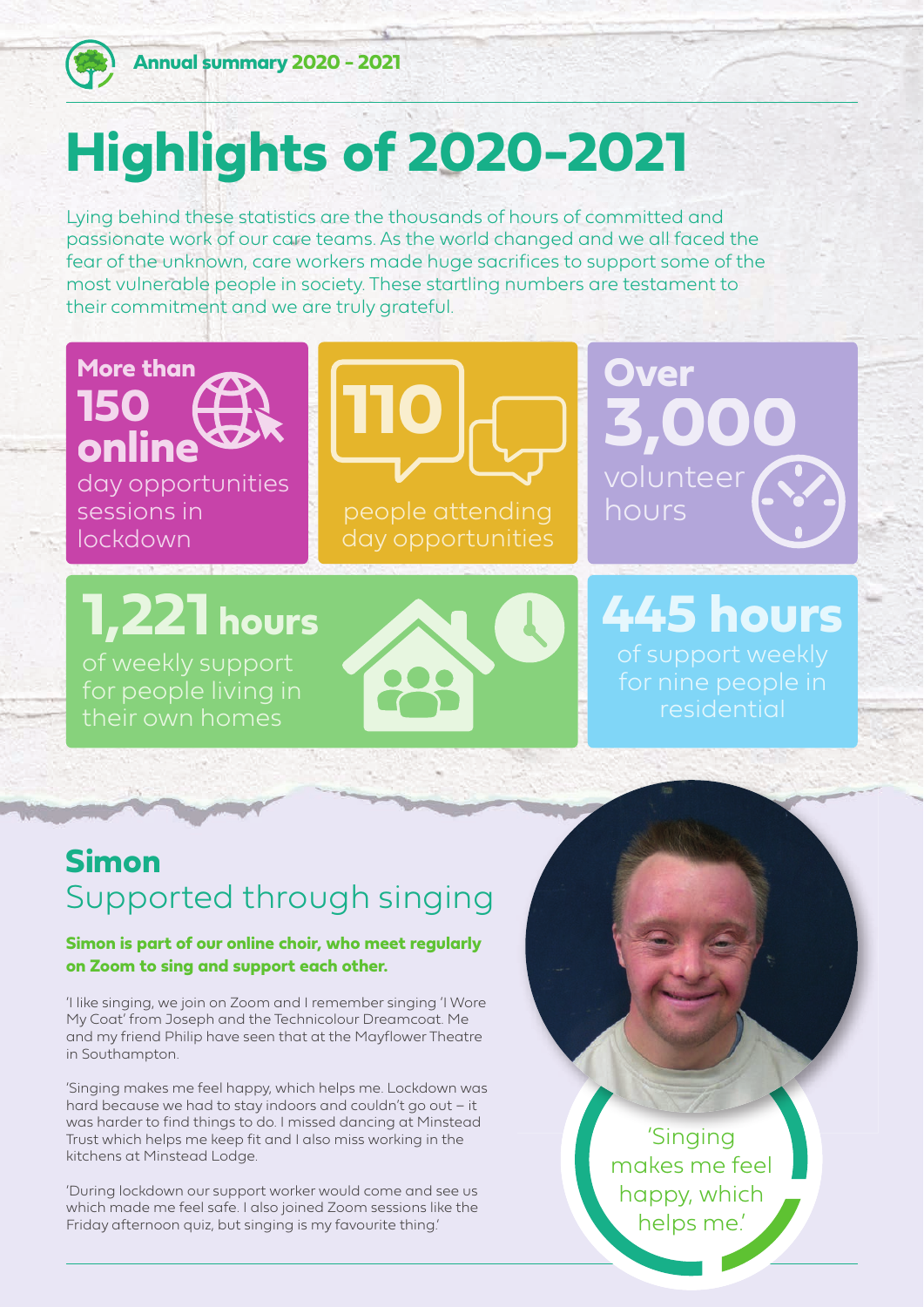

**More than**

**online**

sessions in lockdown

**150** 

**Annual summary 2020 - 2021 Annual summary 2020 - 2021**

# **Highlights of 2020-2021**

Lying behind these statistics are the thousands of hours of committed and passionate work of our care teams. As the world changed and we all faced the fear of the unknown, care workers made huge sacrifices to support some of the most vulnerable people in society. These startling numbers are testament to their commitment and we are truly grateful.

**110**

**1,221 hours**

day opportunities

their own homes



people attending

**Over 3,000** volunteer hours

# **445 hours** residential

## **Simon** Supported through singing

### **Simon is part of our online choir, who meet regularly on Zoom to sing and support each other.**

'I like singing, we join on Zoom and I remember singing 'I Wore My Coat' from Joseph and the Technicolour Dreamcoat. Me and my friend Philip have seen that at the Mayflower Theatre in Southampton.

'Singing makes me feel happy, which helps me. Lockdown was hard because we had to stay indoors and couldn't go out – it was harder to find things to do. I missed dancing at Minstead Trust which helps me keep fit and I also miss working in the kitchens at Minstead Lodge.

'During lockdown our support worker would come and see us which made me feel safe. I also joined Zoom sessions like the Friday afternoon quiz, but singing is my favourite thing.'

'Singing makes me feel happy, which helps me.'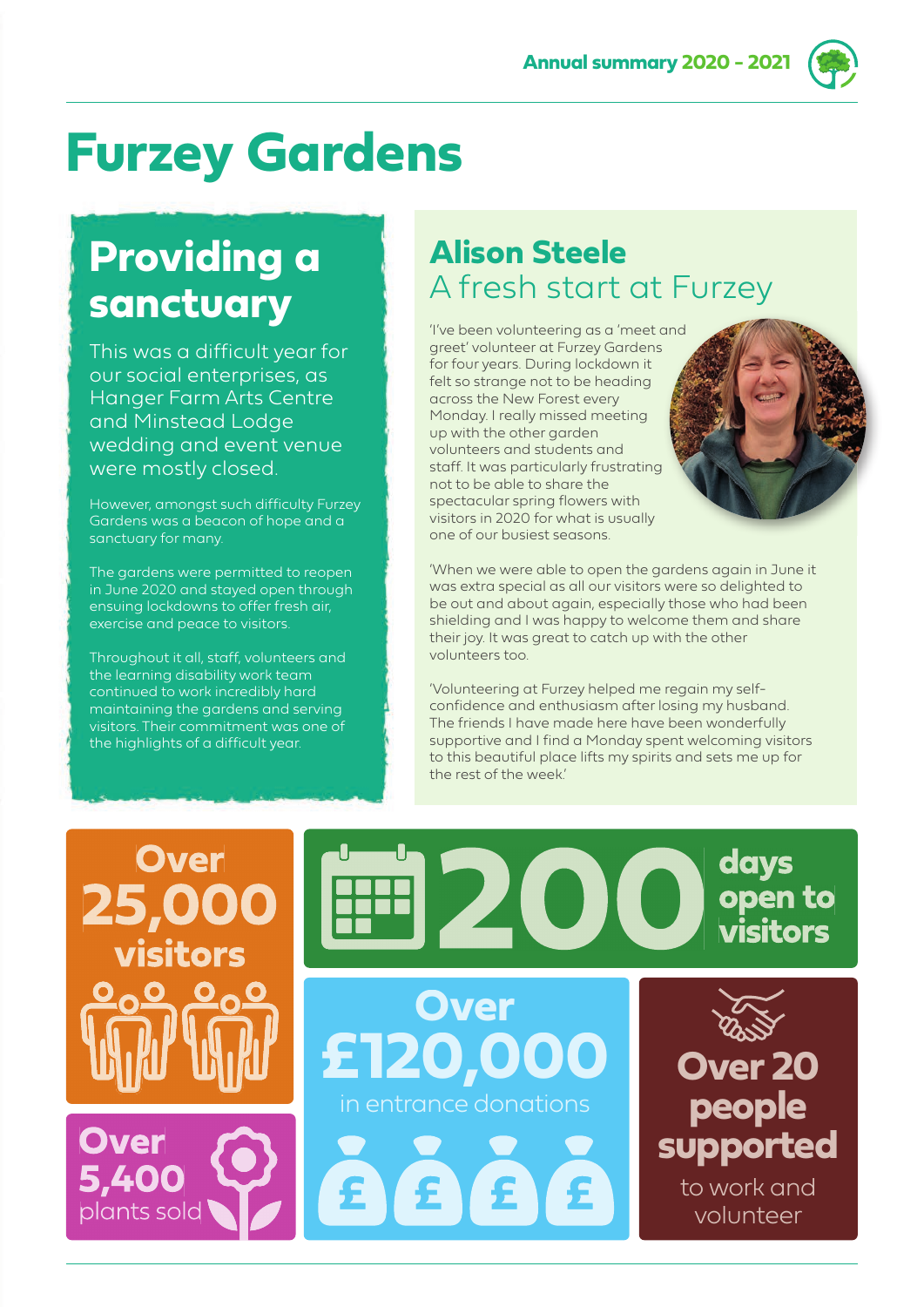**Annual summary 2020 - 2021**

# **Furzey Gardens**

## **Providing a sanctuary**

This was a difficult year for our social enterprises, as Hanger Farm Arts Centre and Minstead Lodge wedding and event venue were mostly closed.

However, amongst such difficulty Furzey Gardens was a beacon of hope and a sanctuary for many.

The gardens were permitted to reopen in June 2020 and stayed open through ensuing lockdowns to offer fresh air, exercise and peace to visitors.

Throughout it all, staff, volunteers and the learning disability work team continued to work incredibly hard maintaining the gardens and serving visitors. Their commitment was one of the highlights of a difficult year.

## **Alison Steele** A fresh start at Furzey

'I've been volunteering as a 'meet and greet' volunteer at Furzey Gardens for four years. During lockdown it felt so strange not to be heading across the New Forest every Monday. I really missed meeting up with the other garden volunteers and students and staff. It was particularly frustrating not to be able to share the spectacular spring flowers with visitors in 2020 for what is usually one of our busiest seasons.

'When we were able to open the gardens again in June it was extra special as all our visitors were so delighted to be out and about again, especially those who had been shielding and I was happy to welcome them and share their joy. It was great to catch up with the other volunteers too.

'Volunteering at Furzey helped me regain my selfconfidence and enthusiasm after losing my husband. The friends I have made here have been wonderfully supportive and I find a Monday spent welcoming visitors to this beautiful place lifts my spirits and sets me up for the rest of the week.'